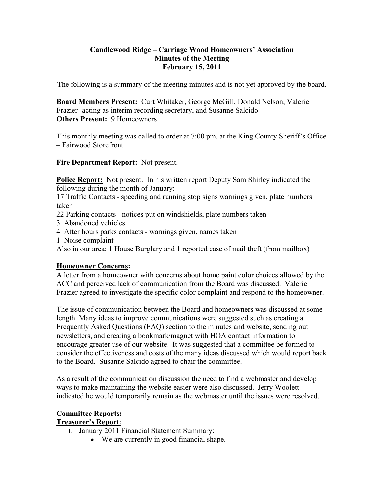# **Candlewood Ridge – Carriage Wood Homeowners' Association Minutes of the Meeting February 15, 2011**

The following is a summary of the meeting minutes and is not yet approved by the board.

**Board Members Present:** Curt Whitaker, George McGill, Donald Nelson, Valerie Frazier- acting as interim recording secretary, and Susanne Salcido **Others Present:** 9 Homeowners

This monthly meeting was called to order at 7:00 pm. at the King County Sheriff's Office – Fairwood Storefront.

**Fire Department Report:** Not present.

**Police Report:** Not present. In his written report Deputy Sam Shirley indicated the following during the month of January:

17 Traffic Contacts - speeding and running stop signs warnings given, plate numbers taken

22 Parking contacts - notices put on windshields, plate numbers taken

3 Abandoned vehicles

- 4 After hours parks contacts warnings given, names taken
- 1 Noise complaint

Also in our area: 1 House Burglary and 1 reported case of mail theft (from mailbox)

# **Homeowner Concerns:**

A letter from a homeowner with concerns about home paint color choices allowed by the ACC and perceived lack of communication from the Board was discussed. Valerie Frazier agreed to investigate the specific color complaint and respond to the homeowner.

The issue of communication between the Board and homeowners was discussed at some length. Many ideas to improve communications were suggested such as creating a Frequently Asked Questions (FAQ) section to the minutes and website, sending out newsletters, and creating a bookmark/magnet with HOA contact information to encourage greater use of our website. It was suggested that a committee be formed to consider the effectiveness and costs of the many ideas discussed which would report back to the Board. Susanne Salcido agreed to chair the committee.

As a result of the communication discussion the need to find a webmaster and develop ways to make maintaining the website easier were also discussed. Jerry Woolett indicated he would temporarily remain as the webmaster until the issues were resolved.

# **Committee Reports:**

# **Treasurer's Report:**

- 1. January 2011 Financial Statement Summary:
	- We are currently in good financial shape.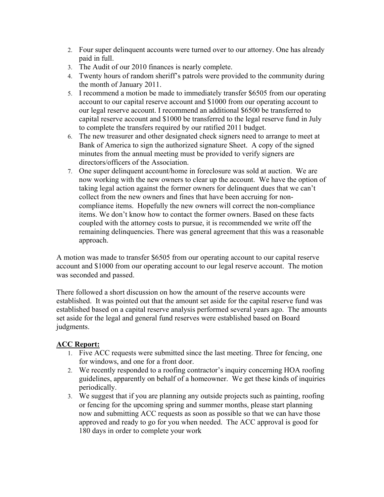- 2. Four super delinquent accounts were turned over to our attorney. One has already paid in full.
- 3. The Audit of our 2010 finances is nearly complete.
- 4. Twenty hours of random sheriff's patrols were provided to the community during the month of January 2011.
- 5. I recommend a motion be made to immediately transfer \$6505 from our operating account to our capital reserve account and \$1000 from our operating account to our legal reserve account. I recommend an additional \$6500 be transferred to capital reserve account and \$1000 be transferred to the legal reserve fund in July to complete the transfers required by our ratified 2011 budget.
- 6. The new treasurer and other designated check signers need to arrange to meet at Bank of America to sign the authorized signature Sheet. A copy of the signed minutes from the annual meeting must be provided to verify signers are directors/officers of the Association.
- 7. One super delinquent account/home in foreclosure was sold at auction. We are now working with the new owners to clear up the account. We have the option of taking legal action against the former owners for delinquent dues that we can't collect from the new owners and fines that have been accruing for noncompliance items. Hopefully the new owners will correct the non-compliance items. We don't know how to contact the former owners. Based on these facts coupled with the attorney costs to pursue, it is recommended we write off the remaining delinquencies. There was general agreement that this was a reasonable approach.

A motion was made to transfer \$6505 from our operating account to our capital reserve account and \$1000 from our operating account to our legal reserve account. The motion was seconded and passed.

There followed a short discussion on how the amount of the reserve accounts were established. It was pointed out that the amount set aside for the capital reserve fund was established based on a capital reserve analysis performed several years ago. The amounts set aside for the legal and general fund reserves were established based on Board judgments.

# **ACC Report:**

- 1. Five ACC requests were submitted since the last meeting. Three for fencing, one for windows, and one for a front door.
- 2. We recently responded to a roofing contractor's inquiry concerning HOA roofing guidelines, apparently on behalf of a homeowner. We get these kinds of inquiries periodically.
- 3. We suggest that if you are planning any outside projects such as painting, roofing or fencing for the upcoming spring and summer months, please start planning now and submitting ACC requests as soon as possible so that we can have those approved and ready to go for you when needed. The ACC approval is good for 180 days in order to complete your work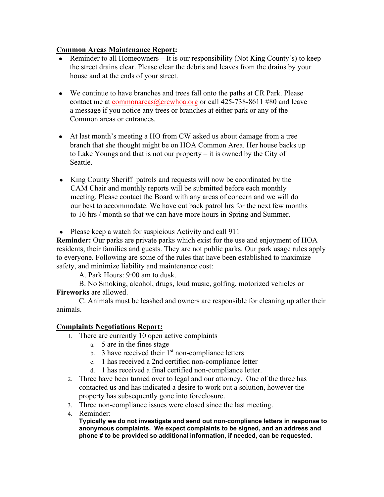# **Common Areas Maintenance Report:**

- Reminder to all Homeowners It is our responsibility (Not King County's) to keep the street drains clear. Please clear the debris and leaves from the drains by your house and at the ends of your street.
- We continue to have branches and trees fall onto the paths at CR Park. Please contact me at commonareas  $@c$ crcwhoa.org or call 425-738-8611 #80 and leave a message if you notice any trees or branches at either park or any of the Common areas or entrances.
- At last month's meeting a HO from CW asked us about damage from a tree branch that she thought might be on HOA Common Area. Her house backs up to Lake Youngs and that is not our property – it is owned by the City of Seattle.
- King County Sheriff patrols and requests will now be coordinated by the CAM Chair and monthly reports will be submitted before each monthly meeting. Please contact the Board with any areas of concern and we will do our best to accommodate. We have cut back patrol hrs for the next few months to 16 hrs / month so that we can have more hours in Spring and Summer.

• Please keep a watch for suspicious Activity and call 911

**Reminder:** Our parks are private parks which exist for the use and enjoyment of HOA residents, their families and guests. They are not public parks. Our park usage rules apply to everyone. Following are some of the rules that have been established to maximize safety, and minimize liability and maintenance cost:

A. Park Hours: 9:00 am to dusk.

B. No Smoking, alcohol, drugs, loud music, golfing, motorized vehicles or **Fireworks** are allowed.

C. Animals must be leashed and owners are responsible for cleaning up after their animals.

#### **Complaints Negotiations Report:**

- 1. There are currently 10 open active complaints
	- a. 5 are in the fines stage
	- b. 3 have received their  $1<sup>st</sup>$  non-compliance letters
	- c. 1 has received a 2nd certified non-compliance letter
	- d. 1 has received a final certified non-compliance letter.
- 2. Three have been turned over to legal and our attorney. One of the three has contacted us and has indicated a desire to work out a solution, however the property has subsequently gone into foreclosure.
- 3. Three non-compliance issues were closed since the last meeting.
- 4. Reminder:

**Typically we do not investigate and send out non-compliance letters in response to anonymous complaints. We expect complaints to be signed, and an address and phone # to be provided so additional information, if needed, can be requested.**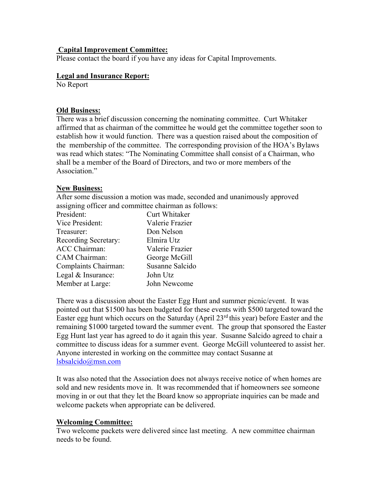#### **Capital Improvement Committee:**

Please contact the board if you have any ideas for Capital Improvements.

#### **Legal and Insurance Report:**

No Report

## **Old Business:**

There was a brief discussion concerning the nominating committee. Curt Whitaker affirmed that as chairman of the committee he would get the committee together soon to establish how it would function. There was a question raised about the composition of the membership of the committee. The corresponding provision of the HOA's Bylaws was read which states: "The Nominating Committee shall consist of a Chairman, who shall be a member of the Board of Directors, and two or more members of the Association."

## **New Business:**

After some discussion a motion was made, seconded and unanimously approved assigning officer and committee chairman as follows:

| President:           | Curt Whitaker   |
|----------------------|-----------------|
| Vice President:      | Valerie Frazier |
| Treasurer:           | Don Nelson      |
| Recording Secretary: | Elmira Utz      |
| <b>ACC Chairman:</b> | Valerie Frazier |
| CAM Chairman:        | George McGill   |
| Complaints Chairman: | Susanne Salcido |
| Legal & Insurance:   | John Utz        |
| Member at Large:     | John Newcome    |

There was a discussion about the Easter Egg Hunt and summer picnic/event. It was pointed out that \$1500 has been budgeted for these events with \$500 targeted toward the Easter egg hunt which occurs on the Saturday (April 23 $^{rd}$  this year) before Easter and the remaining \$1000 targeted toward the summer event. The group that sponsored the Easter Egg Hunt last year has agreed to do it again this year. Susanne Salcido agreed to chair a committee to discuss ideas for a summer event. George McGill volunteered to assist her. Anyone interested in working on the committee may contact Susanne at lsbsalcido@msn.com

It was also noted that the Association does not always receive notice of when homes are sold and new residents move in. It was recommended that if homeowners see someone moving in or out that they let the Board know so appropriate inquiries can be made and welcome packets when appropriate can be delivered.

#### **Welcoming Committee:**

Two welcome packets were delivered since last meeting. A new committee chairman needs to be found.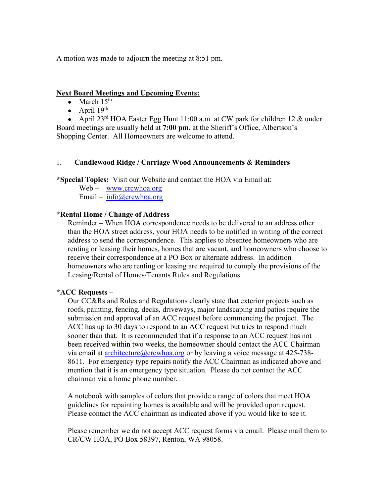A motion was made to adjourn the meeting at 8:51 pm.

#### **Next Board Meetings and Upcoming Events:**

- March  $15<sup>th</sup>$
- April  $19<sup>th</sup>$

• April  $23^{rd}$  HOA Easter Egg Hunt 11:00 a.m. at CW park for children 12 & under Board meetings are usually held at **7:00 pm.** at the Sheriff's Office, Albertson's Shopping Center. All Homeowners are welcome to attend.

#### 1. **Candlewood Ridge / Carriage Wood Announcements & Reminders**

**\*Special Topics:** Visit our Website and contact the HOA via Email at:

Web – www.crcwhoa.org Email – info@crcwhoa.org

#### **\*Rental Home / Change of Address**

Reminder – When HOA correspondence needs to be delivered to an address other than the HOA street address, your HOA needs to be notified in writing of the correct address to send the correspondence. This applies to absentee homeowners who are renting or leasing their homes, homes that are vacant, and homeowners who choose to receive their correspondence at a PO Box or alternate address. In addition homeowners who are renting or leasing are required to comply the provisions of the Leasing/Rental of Homes/Tenants Rules and Regulations.

#### **\*ACC Requests** –

Our CC&Rs and Rules and Regulations clearly state that exterior projects such as roofs, painting, fencing, decks, driveways, major landscaping and patios require the submission and approval of an ACC request before commencing the project. The ACC has up to 30 days to respond to an ACC request but tries to respond much sooner than that. It is recommended that if a response to an ACC request has not been received within two weeks, the homeowner should contact the ACC Chairman via email at architecture  $@crcwhoa.org$  or by leaving a voice message at 425-738-8611. For emergency type repairs notify the ACC Chairman as indicated above and mention that it is an emergency type situation. Please do not contact the ACC chairman via a home phone number.

A notebook with samples of colors that provide a range of colors that meet HOA guidelines for repainting homes is available and will be provided upon request. Please contact the ACC chairman as indicated above if you would like to see it.

Please remember we do not accept ACC request forms via email. Please mail them to CR/CW HOA, PO Box 58397, Renton, WA 98058.